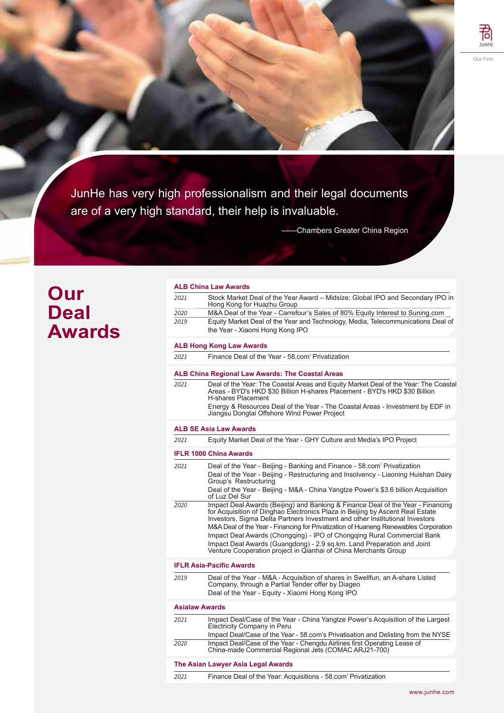JunHe has very high professionalism and their legal documents are of a very high standard, their help is invaluable.

——Chambers Greater China Region

## **Our Deal Awards**

|      | <b>ALB China Law Awards</b>                                                                                                                                                                                                                                                                                                              |
|------|------------------------------------------------------------------------------------------------------------------------------------------------------------------------------------------------------------------------------------------------------------------------------------------------------------------------------------------|
| 2021 | Stock Market Deal of the Year Award - Midsize: Global IPO and Secondary IPO in<br>Hong Kong for Huazhu Group                                                                                                                                                                                                                             |
| 2020 | M&A Deal of the Year - Carrefour's Sales of 80% Equity Interest to Suning.com                                                                                                                                                                                                                                                            |
| 2019 | Equity Market Deal of the Year and Technology, Media, Telecommunications Deal of                                                                                                                                                                                                                                                         |
|      | the Year - Xiaomi Hong Kong IPO                                                                                                                                                                                                                                                                                                          |
|      | <b>ALB Hong Kong Law Awards</b>                                                                                                                                                                                                                                                                                                          |
| 2021 | Finance Deal of the Year - 58.com' Privatization                                                                                                                                                                                                                                                                                         |
|      | ALB China Regional Law Awards: The Coastal Areas                                                                                                                                                                                                                                                                                         |
| 2021 | Deal of the Year: The Coastal Areas and Equity Market Deal of the Year: The Coastal<br>Areas - BYD's HKD \$30 Billion H-shares Placement - BYD's HKD \$30 Billion<br>H-shares Placement                                                                                                                                                  |
|      | Energy & Resources Deal of the Year - The Coastal Areas - Investment by EDF in<br>Jiangsu Dongtai Offshore Wind Power Project                                                                                                                                                                                                            |
|      | <b>ALB SE Asia Law Awards</b>                                                                                                                                                                                                                                                                                                            |
| 2021 | Equity Market Deal of the Year - GHY Culture and Media's IPO Project                                                                                                                                                                                                                                                                     |
|      | <b>IFLR 1000 China Awards</b>                                                                                                                                                                                                                                                                                                            |
| 2021 | Deal of the Year - Beijing - Banking and Finance - 58.com' Privatization                                                                                                                                                                                                                                                                 |
|      | Deal of the Year - Beijing - Restructuring and Insolvency - Liaoning Huishan Dairy<br>Group's Restructuring                                                                                                                                                                                                                              |
|      | Deal of the Year - Beijing - M&A - China Yangtze Power's \$3.6 billion Acquisition<br>of Luz Del Sur                                                                                                                                                                                                                                     |
| 2020 | Impact Deal Awards (Beijing) and Banking & Finance Deal of the Year - Financing<br>for Acquisition of Dinghao Electronics Plaza in Beijing by Ascent Real Estate<br>Investors, Sigma Delta Partners Investment and other Institutional Investors<br>M&A Deal of the Year - Financing for Privatization of Huaneng Renewables Corporation |
|      | Impact Deal Awards (Chongqing) - IPO of Chongqing Rural Commercial Bank                                                                                                                                                                                                                                                                  |
|      | Impact Deal Awards (Guangdong) - 2.9 sq.km. Land Preparation and Joint                                                                                                                                                                                                                                                                   |
|      | Venture Cooperation project in Qianhai of China Merchants Group                                                                                                                                                                                                                                                                          |
|      | <b>IFLR Asia-Pacific Awards</b>                                                                                                                                                                                                                                                                                                          |
| 2019 | Deal of the Year - M&A - Acquisition of shares in Swellfun, an A-share Listed<br>Company, through a Partial Tender offer by Diageo<br>Deal of the Year - Equity - Xiaomi Hong Kong IPO                                                                                                                                                   |
|      | <b>Asialaw Awards</b>                                                                                                                                                                                                                                                                                                                    |
| 2021 | Impact Deal/Case of the Year - China Yangtze Power's Acquisition of the Largest<br>Electricity Company in Peru                                                                                                                                                                                                                           |
|      | Impact Deal/Case of the Year - 58.com's Privatisation and Delisting from the NYSE                                                                                                                                                                                                                                                        |
| 2020 | Impact Deal/Case of the Year - Chengdu Airlines first Operating Lease of<br>China-made Commercial Regional Jets (COMAC ARJ21-700)                                                                                                                                                                                                        |
|      | The Asian Lawyer Asia Legal Awards                                                                                                                                                                                                                                                                                                       |
| 2021 | Finance Deal of the Year: Acquisitions - 58.com' Privatization                                                                                                                                                                                                                                                                           |